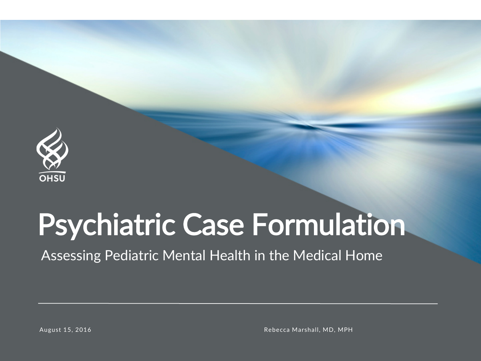

#### Psychiatric Case Formulation

Assessing Pediatric Mental Health in the Medical Home

August 15, 2016 Rebecca Marshall, MD, MPH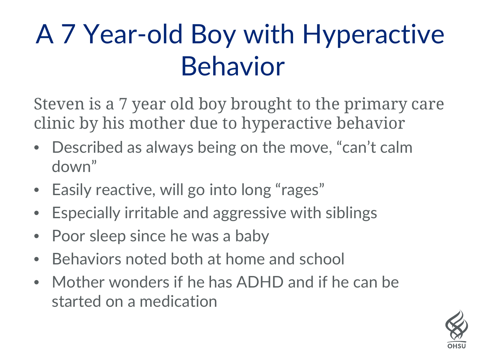#### A 7 Year-old Boy with Hyperactive Behavior

Steven is a 7 year old boy brought to the primary care clinic by his mother due to hyperactive behavior

- Described as always being on the move, "can't calm down"
- Easily reactive, will go into long "rages"
- Especially irritable and aggressive with siblings
- Poor sleep since he was a baby
- Behaviors noted both at home and school
- Mother wonders if he has ADHD and if he can be started on a medication

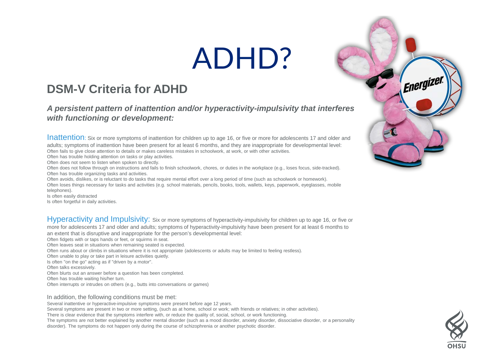## ADHD?

#### **DSM-V Criteria for ADHD**

*A persistent pattern of inattention and/or hyperactivity-impulsivity that interferes with functioning or development:*

Inattention: Six or more symptoms of inattention for children up to age 16, or five or more for adolescents 17 and older and adults; symptoms of inattention have been present for at least 6 months, and they are inappropriate for developmental level: Often fails to give close attention to details or makes careless mistakes in schoolwork, at work, or with other activities.

Often has trouble holding attention on tasks or play activities.

Often does not seem to listen when spoken to directly.

Often does not follow through on instructions and fails to finish schoolwork, chores, or duties in the workplace (e.g., loses focus, side-tracked). Often has trouble organizing tasks and activities.

Often avoids, dislikes, or is reluctant to do tasks that require mental effort over a long period of time (such as schoolwork or homework). Often loses things necessary for tasks and activities (e.g. school materials, pencils, books, tools, wallets, keys, paperwork, eyeglasses, mobile telephones).

Is often easily distracted

Is often forgetful in daily activities.

Hyperactivity and Impulsivity: Six or more symptoms of hyperactivity-impulsivity for children up to age 16, or five or more for adolescents 17 and older and adults; symptoms of hyperactivity-impulsivity have been present for at least 6 months to an extent that is disruptive and inappropriate for the person's developmental level:

Often fidgets with or taps hands or feet, or squirms in seat.

Often leaves seat in situations when remaining seated is expected.

Often runs about or climbs in situations where it is not appropriate (adolescents or adults may be limited to feeling restless).

Often unable to play or take part in leisure activities quietly.

Is often "on the go" acting as if "driven by a motor".

Often talks excessively.

Often blurts out an answer before a question has been completed.

Often has trouble waiting his/her turn.

Often interrupts or intrudes on others (e.g., butts into conversations or games)

In addition, the following conditions must be met:

Several inattentive or hyperactive-impulsive symptoms were present before age 12 years.

Several symptoms are present in two or more setting, (such as at home, school or work; with friends or relatives; in other activities).

There is clear evidence that the symptoms interfere with, or reduce the quality of, social, school, or work functioning.

The symptoms are not better explained by another mental disorder (such as a mood disorder, anxiety disorder, dissociative disorder, or a personality disorder). The symptoms do not happen only during the course of schizophrenia or another psychotic disorder.



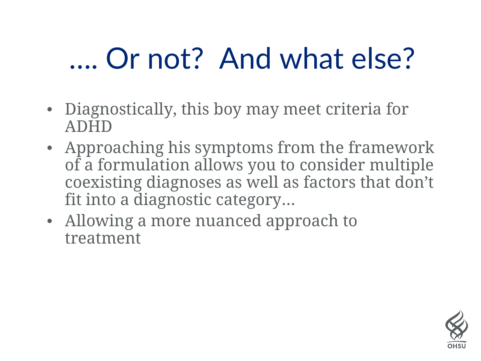## …. Or not? And what else?

- Diagnostically, this boy may meet criteria for ADHD
- Approaching his symptoms from the framework of a formulation allows you to consider multiple coexisting diagnoses as well as factors that don't fit into a diagnostic category…
- Allowing a more nuanced approach to treatment

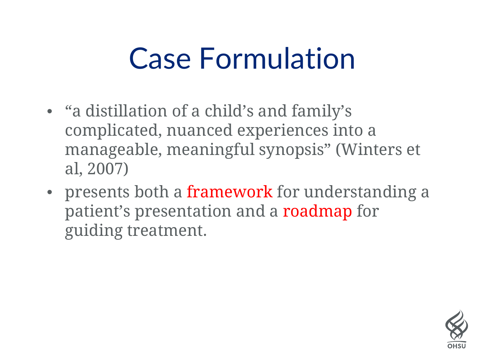## Case Formulation

- "a distillation of a child's and family's complicated, nuanced experiences into a manageable, meaningful synopsis" (Winters et al, 2007)
- presents both a framework for understanding a patient's presentation and a roadmap for guiding treatment.

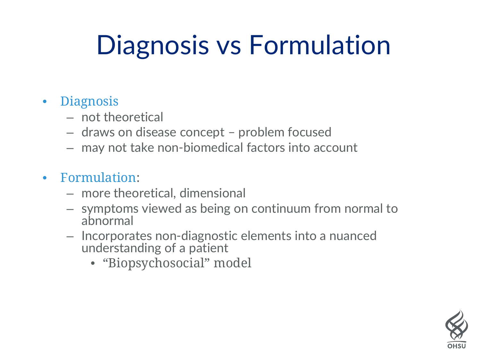#### Diagnosis vs Formulation

#### • Diagnosis

- not theoretical
- draws on disease concept problem focused
- may not take non-biomedical factors into account

#### • Formulation:

- more theoretical, dimensional
- symptoms viewed as being on continuum from normal to abnormal
- Incorporates non-diagnostic elements into a nuanced understanding of a patient
	- "Biopsychosocial" model

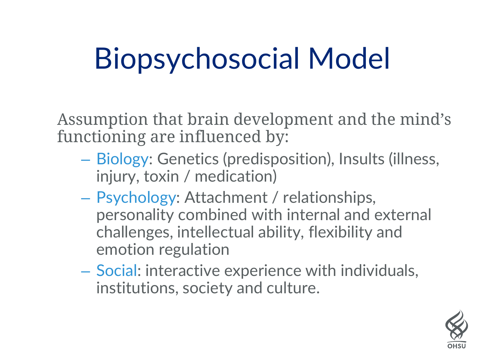# Biopsychosocial Model

Assumption that brain development and the mind's functioning are influenced by:

- Biology: Genetics (predisposition), Insults (illness, injury, toxin / medication)
- Psychology: Attachment / relationships, personality combined with internal and external challenges, intellectual ability, flexibility and emotion regulation
- Social: interactive experience with individuals, institutions, society and culture.

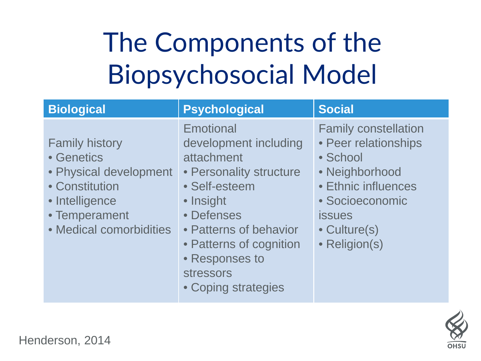## The Components of the Biopsychosocial Model

| <b>Biological</b>                                                                                                                             | <b>Psychological</b>                                                                                                                                                                                                                      | <b>Social</b>                                                                                                                                                                 |
|-----------------------------------------------------------------------------------------------------------------------------------------------|-------------------------------------------------------------------------------------------------------------------------------------------------------------------------------------------------------------------------------------------|-------------------------------------------------------------------------------------------------------------------------------------------------------------------------------|
| <b>Family history</b><br>• Genetics<br>• Physical development<br>• Constitution<br>• Intelligence<br>• Temperament<br>• Medical comorbidities | Emotional<br>development including<br>attachment<br>• Personality structure<br>• Self-esteem<br>· Insight<br>• Defenses<br>• Patterns of behavior<br>• Patterns of cognition<br>• Responses to<br><b>stressors</b><br>• Coping strategies | <b>Family constellation</b><br>• Peer relationships<br>• School<br>· Neighborhood<br>• Ethnic influences<br>· Socioeconomic<br><b>issues</b><br>• Culture(s)<br>• Religion(s) |

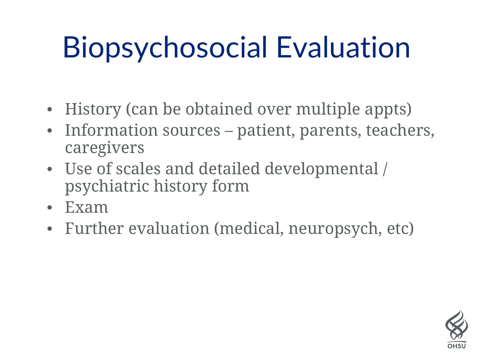# Biopsychosocial Evaluation

- History (can be obtained over multiple appts)
- Information sources patient, parents, teachers, caregivers
- Use of scales and detailed developmental / psychiatric history form
- Exam
- Further evaluation (medical, neuropsych, etc)

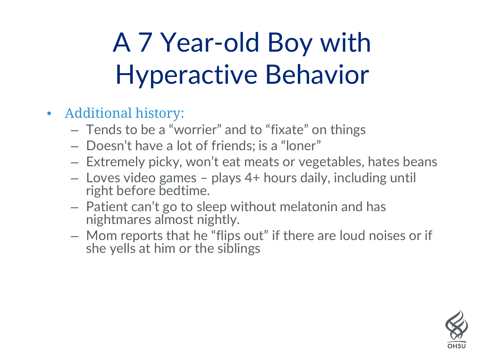## A 7 Year-old Boy with Hyperactive Behavior

- Additional history:
	- Tends to be a "worrier" and to "fixate" on things
	- Doesn't have a lot of friends; is a "loner"
	- Extremely picky, won't eat meats or vegetables, hates beans
	- Loves video games plays 4+ hours daily, including until right before bedtime.
	- Patient can't go to sleep without melatonin and has nightmares almost nightly.
	- Mom reports that he "flips out" if there are loud noises or if she yells at him or the siblings

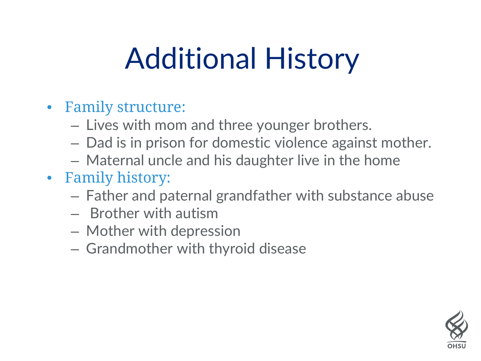## Additional History

#### • Family structure:

- Lives with mom and three younger brothers.
- Dad is in prison for domestic violence against mother.
- Maternal uncle and his daughter live in the home
- Family history:
	- Father and paternal grandfather with substance abuse
	- Brother with autism
	- Mother with depression
	- Grandmother with thyroid disease

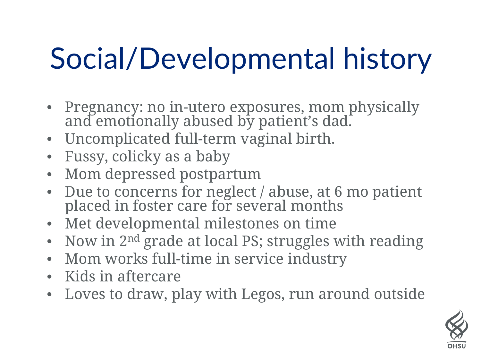# Social/Developmental history

- Pregnancy: no in-utero exposures, mom physically and emotionally abused by patient's dad.
- Uncomplicated full-term vaginal birth.
- Fussy, colicky as a baby
- Mom depressed postpartum
- Due to concerns for neglect / abuse, at 6 mo patient placed in foster care for several months
- Met developmental milestones on time
- Now in 2<sup>nd</sup> grade at local PS; struggles with reading
- Mom works full-time in service industry
- Kids in aftercare
- Loves to draw, play with Legos, run around outside

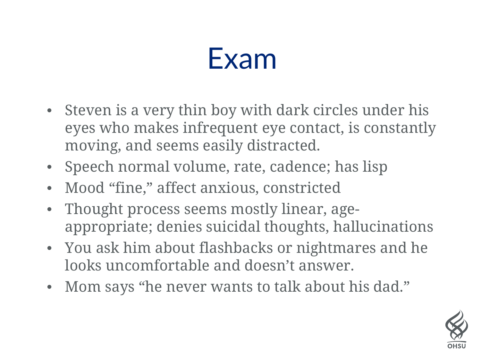## Exam

- Steven is a very thin boy with dark circles under his eyes who makes infrequent eye contact, is constantly moving, and seems easily distracted.
- Speech normal volume, rate, cadence; has lisp
- Mood "fine," affect anxious, constricted
- Thought process seems mostly linear, ageappropriate; denies suicidal thoughts, hallucinations
- You ask him about flashbacks or nightmares and he looks uncomfortable and doesn't answer.
- Mom says "he never wants to talk about his dad."

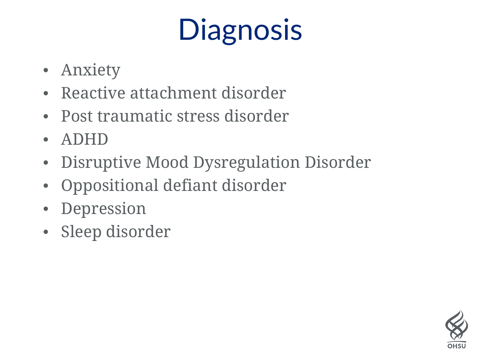# **Diagnosis**

- Anxiety
- Reactive attachment disorder
- Post traumatic stress disorder
- ADHD
- Disruptive Mood Dysregulation Disorder
- Oppositional defiant disorder
- Depression
- Sleep disorder

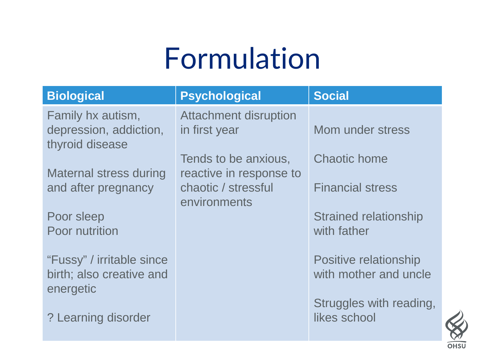## Formulation

| <b>Biological</b>                                                  | <b>Psychological</b>                            | <b>Social</b>                                  |
|--------------------------------------------------------------------|-------------------------------------------------|------------------------------------------------|
| Family hx autism,<br>depression, addiction,<br>thyroid disease     | <b>Attachment disruption</b><br>in first year   | Mom under stress                               |
| <b>Maternal stress during</b>                                      | Tends to be anxious,<br>reactive in response to | <b>Chaotic home</b>                            |
| and after pregnancy                                                | chaotic / stressful<br>environments             | <b>Financial stress</b>                        |
| Poor sleep<br>Poor nutrition                                       |                                                 | <b>Strained relationship</b><br>with father    |
| "Fussy" / irritable since<br>birth; also creative and<br>energetic |                                                 | Positive relationship<br>with mother and uncle |
| ? Learning disorder                                                |                                                 | Struggles with reading,<br>likes school        |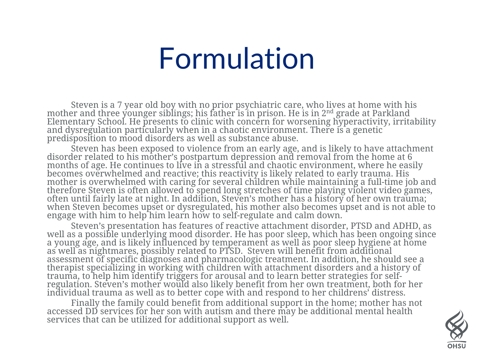#### Formulation

Steven is a 7 year old boy with no prior psychiatric care, who lives at home with his<br>mother and three younger siblings; his father is in prison. He is in 2<sup>nd</sup> grade at Parkland<br>Elementary School. He presents to clinic wi and dysregulation particularly when in a chaotic environment. There is a genetic predisposition to mood disorders as well as substance abuse.

Steven has been exposed to violence from an early age, and is likely to have attachment disorder related to his mother's postpartum depression and removal from the home at 6 months of age. He continues to live in a stressful and chaotic environment, where he easily becomes overwhelmed and reactive; this reactivity is likely related to early trauma. His mother is overwhelmed with caring for several children while maintaining a full-time job and therefore Steven is often allowed to spend long stretches of time playing violent video games, often until fairly late at night. In addition, Steven's mother has a history of her own trauma; when Steven becomes upset or dysregulated, his mother also becomes upset and is not able to engage with him to help him learn how to self-regulate and calm down.

Steven's presentation has features of reactive attachment disorder, PTSD and ADHD, as well as a possible underlying mood disorder. He has poor sleep, which has been ongoing since a young age, and is likely influenced by temperament as well as poor sleep hygiene at home as well as nightmares, possibly related to PTSD. Steven will benefit from additional assessment of specific diagnoses and pharmacologic treatment. In addition, he should see a therapist specializing in working with children with attachment disorders and a history of regulation. Steven's mother would also likely benefit from her own treatment, both for her individual trauma as well as to better cope with and respond to her childrens' distress.

Finally the family could benefit from additional support in the home; mother has not accessed DD services for her son with autism and there may be additional mental health services that can be utilized for additional support as well.

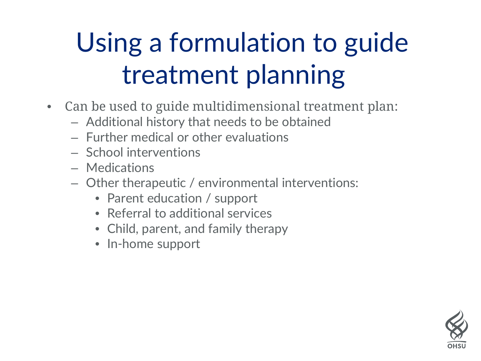### Using a formulation to guide treatment planning

- Can be used to guide multidimensional treatment plan:
	- Additional history that needs to be obtained
	- Further medical or other evaluations
	- School interventions
	- Medications
	- Other therapeutic / environmental interventions:
		- Parent education / support
		- Referral to additional services
		- Child, parent, and family therapy
		- In-home support